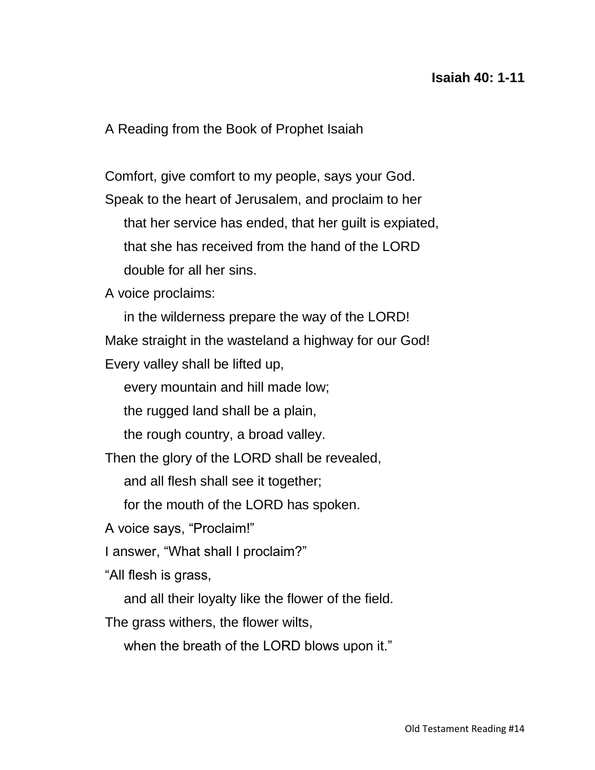## **Isaiah 40: 1-11**

A Reading from the Book of Prophet Isaiah

Comfort, give comfort to my people, says your God. Speak to the heart of Jerusalem, and proclaim to her that her service has ended, that her guilt is expiated, that she has received from the hand of the LORD double for all her sins.

A voice proclaims:

 in the wilderness prepare the way of the LORD! Make straight in the wasteland a highway for our God! Every valley shall be lifted up,

every mountain and hill made low;

the rugged land shall be a plain,

the rough country, a broad valley.

Then the glory of the LORD shall be revealed,

and all flesh shall see it together;

for the mouth of the LORD has spoken.

A voice says, "Proclaim!"

I answer, "What shall I proclaim?"

"All flesh is grass,

and all their loyalty like the flower of the field.

The grass withers, the flower wilts,

when the breath of the LORD blows upon it."